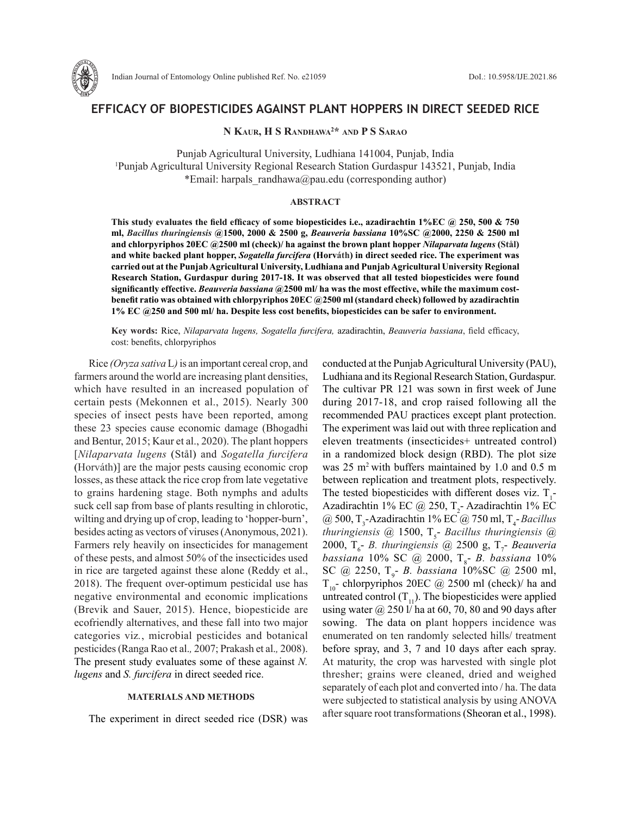

# **EFFICACY OF BIOPESTICIDES AGAINST PLANT HOPPERS IN DIRECT SEEDED RICE**

**N Kaur, H S Randhawa2 \* and P S Sarao**

Punjab Agricultural University, Ludhiana 141004, Punjab, India 1 Punjab Agricultural University Regional Research Station Gurdaspur 143521, Punjab, India \*Email: harpals randhawa@pau.edu (corresponding author)

#### **ABSTRACT**

**This study evaluates the field efficacy of some biopesticides i.e., azadirachtin 1%EC @ 250, 500 & 750 ml,** *Bacillus thuringiensis* **@1500, 2000 & 2500 g,** *Beauveria bassiana* **10%SC @2000, 2250 & 2500 ml and chlorpyriphos 20EC @2500 ml (check)/ ha against the brown plant hopper** *Nilaparvata lugens* **(Stål) and white backed plant hopper,** *Sogatella furcifera* **(Horváth) in direct seeded rice. The experiment was carried out at the Punjab Agricultural University, Ludhiana and Punjab Agricultural University Regional Research Station, Gurdaspur during 2017-18. It was observed that all tested biopesticides were found significantly effective.** *Beauveria bassiana* **@2500 ml/ ha was the most effective, while the maximum costbenefit ratio was obtained with chlorpyriphos 20EC @2500 ml (standard check) followed by azadirachtin 1% EC @250 and 500 ml/ ha. Despite less cost benefits, biopesticides can be safer to environment.** 

**Key words:** Rice, *Nilaparvata lugens, Sogatella furcifera,* azadirachtin, *Beauveria bassiana*, field efficacy, cost: benefits, chlorpyriphos

Rice *(Oryza sativa* L*)* is an important cereal crop, and farmers around the world are increasing plant densities, which have resulted in an increased population of certain pests (Mekonnen et al., 2015). Nearly 300 species of insect pests have been reported, among these 23 species cause economic damage (Bhogadhi and Bentur, 2015; Kaur et al., 2020). The plant hoppers [*Nilaparvata lugens* (Stål) and *Sogatella furcifera*  (Horváth)] are the major pests causing economic crop losses, as these attack the rice crop from late vegetative to grains hardening stage. Both nymphs and adults suck cell sap from base of plants resulting in chlorotic, wilting and drying up of crop, leading to 'hopper-burn', besides acting as vectors of viruses (Anonymous, 2021). Farmers rely heavily on insecticides for management of these pests, and almost 50% of the insecticides used in rice are targeted against these alone (Reddy et al., 2018). The frequent over-optimum pesticidal use has negative environmental and economic implications (Brevik and Sauer, 2015). Hence, biopesticide are ecofriendly alternatives, and these fall into two major categories viz*.*, microbial pesticides and botanical pesticides (Ranga Rao et al.*,* 2007; Prakash et al.*,* 2008). The present study evaluates some of these against *N. lugens* and *S. furcifera* in direct seeded rice.

### **MATERIALS AND METHODS**

The experiment in direct seeded rice (DSR) was

conducted at the Punjab Agricultural University (PAU), Ludhiana and its Regional Research Station, Gurdaspur. The cultivar PR 121 was sown in first week of June during 2017-18, and crop raised following all the recommended PAU practices except plant protection. The experiment was laid out with three replication and eleven treatments (insecticides+ untreated control) in a randomized block design (RBD). The plot size was  $25 \text{ m}^2$  with buffers maintained by 1.0 and 0.5 m between replication and treatment plots, respectively. The tested biopesticides with different doses viz.  $T_1$ -Azadirachtin 1% EC @ 250,  $T_2$ - Azadirachtin 1% EC @ 500, T<sub>3</sub>-Azadirachtin 1% EC @ 750 ml, T<sub>4</sub>-*Bacillus thuringiensis* @ 1500, T<sub>5</sub>- *Bacillus thuringiensis* @ 2000, T<sub>6</sub>- *B.* thuringiensis @ 2500 g, T<sub>7</sub>- *Beauveria bassiana* 10% SC @ 2000, T8 - *B. bassiana* 10% SC @ 2250, T<sub>9</sub>- *B. bassiana* 10%SC @ 2500 ml,  $T_{10}$ - chlorpyriphos 20EC @ 2500 ml (check)/ ha and untreated control  $(T_{11})$ . The biopesticides were applied using water  $\omega$  250 l/ ha at 60, 70, 80 and 90 days after sowing. The data on plant hoppers incidence was enumerated on ten randomly selected hills/ treatment before spray, and 3, 7 and 10 days after each spray. At maturity, the crop was harvested with single plot thresher; grains were cleaned, dried and weighed separately of each plot and converted into / ha. The data were subjected to statistical analysis by using ANOVA after square root transformations (Sheoran et al., 1998).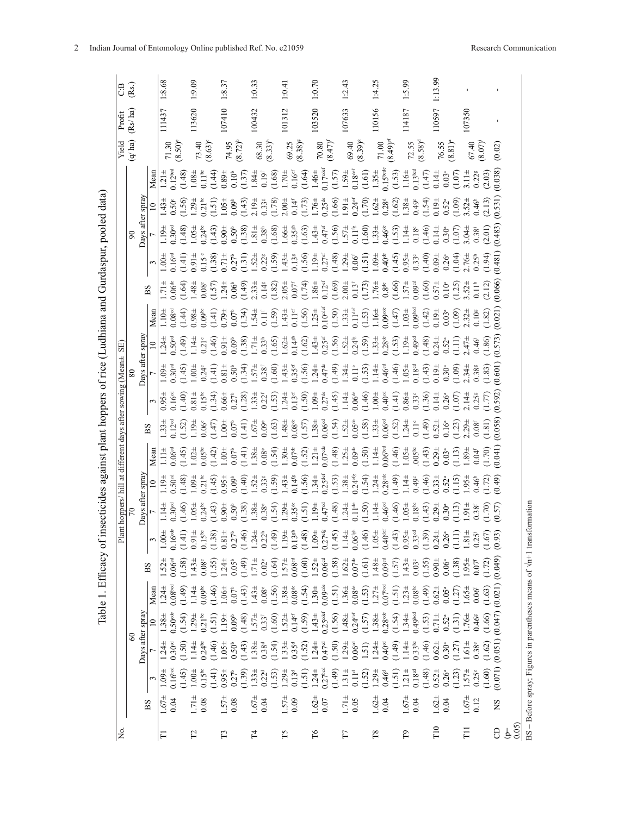| C:B                                                         | (Rs)                       |                  |      | 1:8.68                                    |                                                          | 1.9.09     |                    |                        | 1:8.37                                 |                                                                                                                                                                                                                                                                                                                                                                                                                                                                       | 1:0.33            |                                                                     |                        | 1:0.41            |                                                                |                                             | 1:0.70             |                       |        | 1:2.43                                        |                     |        | 1:4.25                                    |                          |        | 1:5.99     |                     | 1:13.99                                                                                                                                                                                                                                                                                                                                               |                   |                                                                                                                                                                                                                                                                                                                              |                       |                                          |                                                         |                                        |    |      |
|-------------------------------------------------------------|----------------------------|------------------|------|-------------------------------------------|----------------------------------------------------------|------------|--------------------|------------------------|----------------------------------------|-----------------------------------------------------------------------------------------------------------------------------------------------------------------------------------------------------------------------------------------------------------------------------------------------------------------------------------------------------------------------------------------------------------------------------------------------------------------------|-------------------|---------------------------------------------------------------------|------------------------|-------------------|----------------------------------------------------------------|---------------------------------------------|--------------------|-----------------------|--------|-----------------------------------------------|---------------------|--------|-------------------------------------------|--------------------------|--------|------------|---------------------|-------------------------------------------------------------------------------------------------------------------------------------------------------------------------------------------------------------------------------------------------------------------------------------------------------------------------------------------------------|-------------------|------------------------------------------------------------------------------------------------------------------------------------------------------------------------------------------------------------------------------------------------------------------------------------------------------------------------------|-----------------------|------------------------------------------|---------------------------------------------------------|----------------------------------------|----|------|
| Profit                                                      | (Rs/ha)                    |                  |      | 111437                                    |                                                          | 113620     |                    |                        | 107410                                 |                                                                                                                                                                                                                                                                                                                                                                                                                                                                       | 100432            |                                                                     |                        | 101312            |                                                                |                                             | 103520             |                       |        | 107633                                        |                     |        | 110156                                    |                          |        | 114187     |                     | 110597                                                                                                                                                                                                                                                                                                                                                |                   |                                                                                                                                                                                                                                                                                                                              | 107350                |                                          |                                                         |                                        |    |      |
| Yield                                                       | (q/ha)                     |                  |      | $71.30$<br>$(8.50)$                       |                                                          | 73.40      | (8.63)             |                        | $74.95$<br>$(8.72)^b$                  |                                                                                                                                                                                                                                                                                                                                                                                                                                                                       | 68.30             | $(8.33)^h$                                                          |                        |                   | $69.25$<br>$(8.38)^8$                                          |                                             |                    | $70.80$<br>$(8.47)^t$ |        | 69.40                                         | $(8.39)^{8}$        |        |                                           | $71.00$<br>$(8.49)^{ef}$ |        | 72.55      | $(8.58)^d$          |                                                                                                                                                                                                                                                                                                                                                       |                   | $76.55$<br>$(8.81)^a$                                                                                                                                                                                                                                                                                                        |                       | $67.40$<br>$(8.07)^i$                    |                                                         | (0.02)                                 |    |      |
|                                                             |                            |                  | Mean | $0.12^{bed}$                              | $(1.48)$<br>$1.08 \pm 0.11$ <sup>bc</sup>                |            |                    | (1.44)                 | 0.89                                   | $\begin{array}{l} 0.10^{\circ} \\ 0.137) \\ 1.84\pm \\ 0.19^{\circ} \\ 0.160 \\ 1.70\pm \\ 0.16^{\circ} \\ 0.164 \\ 1.46\pm \\ 1.40\pm \\ 1.40\pm \\ 1.170^{\circ} \\ 0.170^{\circ} \\ 0.170^{\circ} \\ 0.170^{\circ} \\ 0.170^{\circ} \\ \end{array}$                                                                                                                                                                                                                |                   |                                                                     |                        |                   |                                                                |                                             |                    |                       |        |                                               |                     |        |                                           |                          |        |            |                     | $\begin{array}{l} (1.57)\\ 1.59\pm\\ 0.18^{w\bar{c}}\\ (1.61)\\ 1.35\pm\\ 1.35\pm\\ 0.15^{w\bar{a}}\\ (1.53)\\ 1.16\pm\\ 0.13^{v\bar{a}}\\ (1.47)\\ 0.14\pm\\ (1.41)\\ 0.14\pm\\ \end{array}$                                                                                                                                                         |                   | $\begin{array}{c} 0.03^{\circ} \\ (1.07) \\ 3.11 \pm \end{array}$                                                                                                                                                                                                                                                            |                       | $0.22$ <sup>g</sup>                      | (2.03)                                                  | (0.038)                                |    |      |
|                                                             |                            |                  |      | $0.50^{\circ}$<br>1.43 <sup>±</sup>       | $(1.56)$<br>1.29±                                        |            | $0.21^{b}$         | 1.51                   | 1.05 <sup>±</sup>                      | $0.09$<br>$(1.43)$<br>$2.19\pm$<br>$(1.78)$<br>$(1.78)$                                                                                                                                                                                                                                                                                                                                                                                                               |                   |                                                                     |                        |                   | $0.14$ <sup>f</sup>                                            | $(1.73)$<br>$1.76 \pm 0.25$ <sup>de</sup>   |                    |                       |        |                                               |                     |        |                                           |                          |        |            |                     | $\begin{array}{l} (1.66)\\ 1.914\\ 1.70)\\ 0.24^{\text{st}}\\ 1.62\\ 1.62\\ 1.38\\ 1.34\\ 1.34\\ 1.34\\ 1.34\\ 1.34\\ 1.34\\ 1.34\\ 1.34\\ 1.34\\ 1.34\\ 1.34\\ 1.34\\ 1.34\\ 1.34\\ 1.34\\ 1.34\\ 1.34\\ 1.34\\ 1.34\\ 1.34\\ 1.34\\ 1.34\\ 1.34\\ 1.34\\ 1.34\\ 1.35\\ 1.35\\$                                                                      |                   | $\begin{array}{c} 0.52^{\circ} \\ (1.09) \\ 3.52^{\pm} \end{array}$                                                                                                                                                                                                                                                          |                       | 0.46 <sup>h</sup>                        | (2.13)                                                  | (0.531)                                |    |      |
|                                                             | $\infty$                   | Days after spray |      | 0.30 <sup>od</sup><br>$1.19\pm$           | $(1.48)$<br>$1.05 \pm 0.105$                             |            |                    | (1.43)                 | 0.904                                  | $\begin{array}{l} 0.50^{\mathrm{b}} \\ 0.38) \\ 1.81^{\mathrm{+}} \\ 0.38^{\mathrm{h}} \\ 0.64 \\ 1.664 \\ 1.63^{\mathrm{th}} \\ 0.35^{\mathrm{th}} \\ 0.37^{\mathrm{+}} \\ 0.47^{\mathrm{+}} \\ 1.43^{\mathrm{+}} \\ 0.47^{\mathrm{+}} \end{array}$                                                                                                                                                                                                                  |                   |                                                                     |                        |                   |                                                                |                                             |                    |                       |        |                                               |                     |        |                                           |                          |        |            |                     | $\begin{array}{l} (1.56)\\ 1.57 \pm\\ 0.11^{\pm}\\ 0.131^{\pm}\\ 1.33 \pm\\ 0.46^{\pm}\\ 1.14 \pm\\ 0.18^{\pm}\\ 0.18^{\pm}\\ 0.14 \pm\\ 0.18^{\pm}\\ 0.14 \pm\\ 0.14 \pm\\ 0.14 \pm\\ 0.14 \pm\\ 0.14 \pm\\ 0.14 \pm\\ 0.14 \pm\\ 0.14 \pm\\ 0.14 \pm\\ 0.14 \pm\\ 0.14 \pm\\ 0.14 \pm\\ 0.14 \pm\\ 0.14 \pm\\ 0.14 \pm$                             |                   | $\frac{0.30^{\mathrm{a}}}{(1.07)}$<br>3.04±                                                                                                                                                                                                                                                                                  |                       | $0.38^{\rm i}$                           | (2.01)                                                  | 0.483                                  |    |      |
|                                                             |                            |                  | 3    | 0.16 <sup>od</sup><br>$1.00 +$            |                                                          |            |                    |                        |                                        | $(1, 4, 1)$ $(1, 3, 8)$ $(1, 3, 6)$ $(1, 3, 6)$ $(1, 3, 6)$ $(1, 3, 3)$ $(1, 3, 2)$ $(1, 3, 3)$ $(1, 3, 3)$ $(1, 3, 3)$ $(1, 3, 3)$ $(1, 3, 3)$ $(1, 3, 3)$ $(1, 3, 3)$ $(1, 3, 3)$ $(1, 3, 3)$ $(1, 3, 3)$ $(1, 3, 3)$ $(1, $                                                                                                                                                                                                                                        |                   |                                                                     |                        |                   |                                                                |                                             |                    |                       |        |                                               |                     |        |                                           |                          |        |            |                     |                                                                                                                                                                                                                                                                                                                                                       |                   | $0.26$ <sup>a</sup><br>$(1.04)$<br>$2.76 \pm 0.25$ <sup>h</sup><br>$(1.94)$                                                                                                                                                                                                                                                  |                       |                                          |                                                         | (184.0)                                |    |      |
|                                                             |                            | BS               |      | $0.06$ <sup>de</sup><br>$1.71 \pm$        |                                                          |            |                    |                        |                                        | $\begin{array}{l} 1.64 \\ 1.48 \\ 0.88 \\ 1.74 \\ 0.69 \\ 0.71 \\ 0.60 \\ 0.60 \\ 0.60 \\ 0.60 \\ 0.60 \\ 0.60 \\ 0.60 \\ 0.60 \\ 0.60 \\ 0.60 \\ 0.60 \\ 0.60 \\ 0.60 \\ 0.60 \\ 0.60 \\ 0.60 \\ 0.60 \\ 0.60 \\ 0.60 \\ 0.60 \\ 0.60 \\ 0.60 \\ 0.60 \\ 0.60 \\ 0.60 \\ 0.60 \\ 0.60 \\ 0.60 \\ 0.60 \\ 0.$                                                                                                                                                         |                   |                                                                     |                        |                   |                                                                |                                             |                    |                       |        |                                               |                     |        |                                           |                          |        |            |                     |                                                                                                                                                                                                                                                                                                                                                       |                   | $\begin{array}{c} 0.10^{\circ} \\ (1.25) \\ 3.52^{\pm} \end{array}$                                                                                                                                                                                                                                                          |                       | $0.11^{\rm h}$                           | (2.12)                                                  | 0.066)                                 |    |      |
|                                                             |                            |                  | Mean | 0.08 <sup>cd</sup>                        | $(1.44)$<br>0.98±                                        |            |                    |                        |                                        | $(1.41)$<br>$0.79\pm$<br>$0.07\pm$<br>$0.34$<br>$1.54\pm$<br>$1.11$<br>$0.11$<br>$0.11$<br>$0.11$                                                                                                                                                                                                                                                                                                                                                                     |                   |                                                                     |                        |                   |                                                                |                                             |                    |                       |        |                                               |                     |        |                                           |                          |        |            |                     | $\begin{array}{l} 0.11^u \\ 0.156 \\ 1.25^{\pm} \\ 0.10^{\mathrm{sig}} \\ 0.10^{\mathrm{sig}} \\ 0.13^{\pm} \\ 1.13^{\pm} \\ 0.11^{\pm} \\ 0.11^{\pm} \\ 0.11^{\pm} \\ 0.09^{\pm} \\ 0.00^{\mathrm{edge}} \\ 0.00^{\mathrm{edge}} \\ 0.01^{\pm} \\ 0.01^{\pm} \\ 0.01^{\pm} \\ 0.01^{\pm} \\ 0.01^{\pm} \\ 0.01^{\pm} \\ 0.01^{\pm} \\ 0.01^{\pm} \\$ | $0.03^\mathrm{a}$ |                                                                                                                                                                                                                                                                                                                              | $(1.09)$<br>2.32±     | $0.10$ $\,$                              | (1.82)                                                  | (0.021)                                |    |      |
|                                                             |                            |                  |      |                                           |                                                          |            |                    |                        |                                        |                                                                                                                                                                                                                                                                                                                                                                                                                                                                       |                   |                                                                     |                        |                   |                                                                |                                             |                    |                       |        |                                               |                     |        |                                           |                          |        |            |                     |                                                                                                                                                                                                                                                                                                                                                       |                   |                                                                                                                                                                                                                                                                                                                              |                       |                                          |                                                         |                                        |    |      |
|                                                             |                            | Days after spra  |      | 0.50 <sup>cd</sup><br>$1.24 \pm$          |                                                          |            |                    |                        |                                        | $\begin{array}{l} \mathfrak{F}_{1}^{0} = \mathfrak{F}_{1}^{0} = \mathfrak{F}_{1}^{0} = \mathfrak{F}_{1}^{0} = \mathfrak{F}_{1}^{0} = \mathfrak{F}_{1}^{0} = \mathfrak{F}_{1}^{0} = \mathfrak{F}_{1}^{0} = \mathfrak{F}_{1}^{0} = \mathfrak{F}_{1}^{0} = \mathfrak{F}_{1}^{0} = \mathfrak{F}_{1}^{0} = \mathfrak{F}_{1}^{0} = \mathfrak{F}_{1}^{0} = \mathfrak{F}_{1}^{0} = \mathfrak{F}_{1}^{0} = \mathfrak{$                                                         |                   |                                                                     |                        |                   |                                                                |                                             |                    |                       |        |                                               |                     |        |                                           |                          |        |            |                     | $(1.48)$<br>0.24±                                                                                                                                                                                                                                                                                                                                     |                   | $\begin{array}{c} 0.52^{\circ} \\ (1.11) \\ 2.47 \pm \end{array}$                                                                                                                                                                                                                                                            |                       | 0.46                                     |                                                         | 0.573                                  |    |      |
|                                                             |                            |                  |      | 0.30 <sup>cd</sup><br>$1.09\pm$           |                                                          |            |                    |                        |                                        | $\begin{array}{cccccccccccccc} \mathcal{G}_1 & \mathcal{G}_2 & \mathcal{G}_3 & \mathcal{G}_4 & \mathcal{G}_5 & \mathcal{G}_6 & \mathcal{G}_7 & \mathcal{G}_8 & \mathcal{G}_7 & \mathcal{G}_8 & \mathcal{G}_9 & \mathcal{G}_9 & \mathcal{G}_9 & \mathcal{G}_9 & \mathcal{G}_9 & \mathcal{G}_9 & \mathcal{G}_9 & \mathcal{G}_9 & \mathcal{G}_9 & \mathcal{G}_9 & \mathcal{G}_9 & \mathcal{G}_9 & \mathcal{G}_9 & \mathcal{G}_9 & \mathcal{G}_9 & \mathcal{G}_9 & \math$ |                   |                                                                     |                        |                   |                                                                |                                             |                    |                       |        |                                               |                     |        |                                           |                          |        |            |                     |                                                                                                                                                                                                                                                                                                                                                       |                   |                                                                                                                                                                                                                                                                                                                              |                       | $(1.09)$<br>$2.34$<br>$0.38$<br>$(1.83)$ |                                                         | (0.601)                                |    |      |
|                                                             |                            |                  |      | $0.16^{od}$<br>0.95 <sub>E</sub>          | $(1.40)$<br>$0.81 +$<br>$0.15$ <sup>te</sup><br>$0.134$  |            |                    |                        |                                        | $0.68$ $0.78$ $0.71$ $0.73$ $0.74$ $0.75$ $0.74$ $0.75$ $0.74$ $0.75$ $0.74$ $0.75$ $0.74$ $0.75$ $0.74$ $0.75$ $0.75$ $0.75$ $0.75$ $0.75$ $0.75$ $0.75$ $0.75$ $0.75$ $0.75$ $0.75$ $0.75$ $0.75$ $0.75$ $0.75$ $0.75$ $0.7$                                                                                                                                                                                                                                        |                   |                                                                     |                        |                   |                                                                |                                             |                    |                       |        |                                               |                     |        |                                           |                          |        |            |                     |                                                                                                                                                                                                                                                                                                                                                       |                   | $0.26^{a}$                                                                                                                                                                                                                                                                                                                   | $(1.07)$<br>2.14±     |                                          |                                                         | (0.592)                                |    |      |
|                                                             |                            | BS               |      | $0.12^{\circ}$<br>$.33 +$                 | $(1.52)$<br>$1.19\pm$<br>$0.06$<br>$(1.47)$<br>$1.00\pm$ |            |                    |                        |                                        | $\begin{array}{l} 0.071 \\ 0.071 \\ 0.071 \\ -0.071 \\ -0.071 \\ -0.071 \\ -0.071 \\ -0.071 \\ -0.071 \\ -0.071 \\ -0.071 \\ -0.071 \\ -0.071 \\ -0.071 \\ -0.071 \\ -0.071 \\ -0.071 \\ -0.071 \\ -0.071 \\ -0.071 \\ -0.071 \\ -0.071 \\ -0.071 \\ -0.071 \\ -0.071 \\ -0.071 \\ -0.071 \\ -0.071 \\ -0.071 \\ -0.071 \\ -0.$                                                                                                                                       |                   |                                                                     |                        |                   |                                                                |                                             |                    |                       |        |                                               |                     |        |                                           |                          |        |            |                     |                                                                                                                                                                                                                                                                                                                                                       |                   | $\frac{0.16^a}{(1.23)}$                                                                                                                                                                                                                                                                                                      |                       | $0.08^{\rm f}$                           | (1.81)                                                  | (0.058)                                |    |      |
|                                                             |                            |                  | Mean | 0.06 <sup>od</sup><br>Ë                   |                                                          |            |                    |                        |                                        | $\begin{array}{l} (1.45)\\ 1.02\pm\\ 0.05\pm\\ 0.04\pm\\ 0.07\pm\\ 0.07\pm\\ 0.08\pm\\ 0.08\pm\\ 0.08\pm\\ 0.08\pm\\ 0.03\pm\\ 0.01\pm\\ 0.01\pm\\ 0.01\pm\\ 0.01\pm\\ 0.01\pm\\ 0.01\pm\\ 0.01\pm\\ 0.01\pm\\ 0.01\pm\\ 0.01\pm\\ 0.01\pm\\ 0.01\pm\\ 0.01\pm\\ 0.01\pm\\ 0.01\pm\\ 0.01\$                                                                                                                                                                           |                   |                                                                     |                        |                   |                                                                |                                             |                    |                       |        |                                               |                     |        |                                           |                          |        |            |                     |                                                                                                                                                                                                                                                                                                                                                       |                   | $\begin{array}{l} 0.07^*\\ 0.52)\\ 1.21^*\\ 0.07^{*3}\\ -1.21^{*3}\\ 0.007^{*3}\\ -1.21^{*3}\\ -1.21^{*3}\\ -1.21^{*3}\\ -1.21^{*3}\\ -1.21^{*3}\\ -1.21^{*3}\\ -1.21^{*3}\\ -1.21^{*3}\\ -1.21^{*3}\\ -1.21^{*3}\\ -1.21^{*3}\\ -1.21^{*3}\\ -1.21^{*3}\\ -1.22^{*3}\\ -1.22^{*3}\\ -1.23^{*3}\\ -1.23^{*3}\\ -1.23^{*3}\\$ |                       | $0.04$ <sup>f</sup>                      |                                                         | $(1.70)$<br>0.041)                     |    |      |
|                                                             |                            |                  |      | 0.50 <sup>cd</sup><br>1.19 <sup>±</sup>   | $1.48$<br>$1.09 +$<br>$0.21$ <sup>bc</sup>               |            |                    |                        |                                        | $(1.45)$<br>0.95±<br>0.00 <sup>+</sup><br>0.033#<br>1.43±<br>1.43±                                                                                                                                                                                                                                                                                                                                                                                                    |                   |                                                                     |                        |                   | $0.14$ <sup>fg</sup><br>(1.56)<br>1.34±<br>0.25 <sup>def</sup> |                                             |                    |                       |        |                                               |                     |        |                                           |                          |        |            |                     | $\begin{array}{l} (1.53)\\ 1.38\pm\\ 0.24\phantom{0}1.34\\ 1.24\pm\\ 1.24\pm\\ 0.23\phantom{0}1.44\\ 1.24\pm\\ 0.23\pm\\ 0.33\pm\\ 0.33\pm\\ \end{array}$                                                                                                                                                                                             |                   | $0.52^{a}$                                                                                                                                                                                                                                                                                                                   | $(1.15)$<br>$1.95\pm$ |                                          |                                                         | $0.46^{\circ}$<br>$(1.72)$<br>$(0.49)$ |    |      |
| ant hoppers/ hill at different days after sowing (Mean± SE) |                            | Days after spray |      | 0.30 <sup>cd</sup><br>114                 | (1.46)                                                   | $1.05 \pm$ | 0.24 <sup>bc</sup> | (1.43)                 | 0.50 <sup>b</sup><br>$0.90\pm$         | (1.38)                                                                                                                                                                                                                                                                                                                                                                                                                                                                | $1.38 +$          | $0.38^{\circ}$<br>(1.54)                                            |                        | $1.29 +$          | 0.35 <sup>de</sup>                                             | $(1.51)$<br>$1.194$<br>$0.47$ <sup>od</sup> |                    |                       |        |                                               |                     |        |                                           |                          |        |            |                     | $\begin{array}{l} \rm{(48)} \\ \rm{1.24} \\ \rm{1.50} \\ \rm{1.74} \\ \rm{1.74} \\ \rm{1.74} \\ \rm{1.74} \\ \rm{1.74} \\ \rm{1.74} \\ \rm{1.74} \\ \rm{1.74} \\ \rm{1.74} \\ \rm{1.74} \\ \rm{1.74} \\ \rm{1.74} \\ \rm{1.74} \\ \rm{1.74} \\ \rm{1.74} \\ \rm{1.74} \\ \rm{1.74} \\ \rm{1.74} \\ \rm{1.74} \\ \rm{1.74} \\ \rm{1.74}$               |                   | 0.30 <sup>a</sup>                                                                                                                                                                                                                                                                                                            | $(1.13)$<br>$1.91\pm$ | $0.38$ <sup>f</sup>                      |                                                         | $(1.70)$<br>$(0.57)$                   |    |      |
| Ë                                                           |                            |                  |      | $0.16^{\rm{ode}}$<br>ᄎ<br>1.00            | $(1.41)$<br>$0.91 \pm 0.15$ <sup>bc</sup>                |            |                    | $(1.38)$<br>$0.81 \pm$ |                                        | $0.27^b$<br>$(1.46)$<br>$1.24\pm$                                                                                                                                                                                                                                                                                                                                                                                                                                     |                   | $0.22^h$<br>(1.49)<br>1.19±                                         |                        |                   | $0.13^\mathrm{gh}$                                             | $(1.48)$<br>1.09+                           |                    | $0.27$ <sup>efg</sup> |        | $(1.45)$<br>$1.14\pm$<br>$0.06$ <sup>th</sup> |                     |        | $(1.46)$<br>$1.05 \pm 0.40$ <sup>ef</sup> |                          |        |            |                     | $(1.43)$<br>$0.95 \pm 0.33$<br>$0.33$ <sup>d</sup><br>$0.39$<br>$0.24 \pm 0.39$                                                                                                                                                                                                                                                                       |                   | 0.26 <sup>a</sup><br>$\Xi$                                                                                                                                                                                                                                                                                                   | $(1.11)$<br>$1.81\pm$ |                                          | $\begin{array}{c} 0.25 \\ (1.67) \\ (0.93) \end{array}$ |                                        |    |      |
|                                                             |                            |                  |      | $0.06^{\rm od}$<br>$1.52 \pm$             | (1.58)                                                   | $1.43 +$   | (1.55)             |                        |                                        | $1.24 \pm 0.05$<br>0.05<br>1.71 $\pm$                                                                                                                                                                                                                                                                                                                                                                                                                                 |                   | $\begin{array}{c} 0.02^{\circ} \\ (1.64) \\ 1.57^{\pm} \end{array}$ |                        |                   | $0.08^{\rm od}$                                                | $(1.60)$<br>$1.52 \pm$                      |                    | 0.06 <sup>cd</sup>    | (1.58) | $1.62 + 0.07$ <sup>de</sup>                   |                     | (1.61) | $1.48 +$                                  | $0.09$ <sup>od</sup>     | (1.57) | $1.43 \pm$ | $0.03^{\circ}$      | $0.90 +$<br>(1.55)                                                                                                                                                                                                                                                                                                                                    |                   | $0.06^{\rm a}$<br>(1.38)                                                                                                                                                                                                                                                                                                     | $1.95 \pm$            | $0.07^{\rm f}$                           | (1.72)                                                  | (640, 0)                               |    |      |
|                                                             |                            |                  | Mean | 0.08 <sup>bd</sup><br>$1.24 +$            | (1.49)                                                   | $1.14 \pm$ | 0.09 <sup>bc</sup> | (1.46)                 | $-0.064$<br>0.07 <sup>b</sup>          | 1.43                                                                                                                                                                                                                                                                                                                                                                                                                                                                  | $1.43 +$          | $0.08^{\circ}$                                                      | 1.56                   | 1.38 <sup>±</sup> | 0.08 <sup>de</sup>                                             | (1.54)                                      | $1.304$<br>0.09 de |                       |        | $(1.51)$<br>$1.364$<br>$0.08$ <sup>de</sup>   |                     | (1.53) | $1.27 + 0.07$ bod                         |                          | (1.51) | $1.23 +$   | $0.08^{\rm bc}$     | (1.49)<br>$0.62 +$                                                                                                                                                                                                                                                                                                                                    |                   | $0.05^{a}$<br>(1.27)                                                                                                                                                                                                                                                                                                         | $1.65 \pm$            | 0.06 <sup>f</sup>                        | (1.63)                                                  | (0.021)                                |    |      |
|                                                             |                            |                  |      | $0.50$ <sup>de</sup><br>1.38 <sup>±</sup> | (1.54)                                                   | $1.29 +$   | 0.21 <sup>bc</sup> | (1.51)                 | 0.09 <sup>b</sup><br>1.19 <sup>±</sup> | (1.48)                                                                                                                                                                                                                                                                                                                                                                                                                                                                | $1.57 \pm$        | $0.33$ <sup>f</sup>                                                 | $(1.60)$<br>$1.52 \pm$ |                   | $0.14$ ef                                                      | (1.59)                                      | $1.43 \pm$         | 0.25 <sup>odef</sup>  | (1.56) | $1.48 +$                                      | 0.24 <sup>def</sup> | (1.57) | $1.38 +$                                  | $0.28$ cde               | (1.54) | $1.34 +$   | 0.49 <sup>bed</sup> | (1.53)<br>$0.71 \pm$                                                                                                                                                                                                                                                                                                                                  |                   | (1.31)<br>$0.52^{a}$                                                                                                                                                                                                                                                                                                         | $1.76\pm$             | 0.46s                                    | (1.66)                                                  | (0.047)                                |    |      |
|                                                             | $\boldsymbol{\mathcal{S}}$ | Days after spray |      | 0.30 <sup>cd</sup><br>$1.24 \pm$          | 1.50                                                     | $1.14 \pm$ | 0.24 <sup>bc</sup> | (1.46)                 | $1.05 + 0.50$                          | (1.43)                                                                                                                                                                                                                                                                                                                                                                                                                                                                | 1.38 <sup>±</sup> | $0.38^{d}$                                                          | (1.54)                 | $1.33 +$          | $0.35^{d}$                                                     | (1.52)                                      | $1.24 \pm$         | 0.47 <sup>od</sup>    |        | $(1.50)$<br>$1.29 \pm 0.06$ <sup>cd</sup>     |                     | 1.51)  | $1.24 \pm 0.40$ <sup>od</sup>             |                          | (1.49) | $1.14 +$   | $0.33^{bc}$         | $0.62 +$<br>(1.46)                                                                                                                                                                                                                                                                                                                                    |                   | 0.30 <sup>a</sup><br>(1.27)                                                                                                                                                                                                                                                                                                  | $1.61 \pm$            | $0.38^{\circ}$                           | (1.62)                                                  | (0.051)                                |    |      |
|                                                             |                            |                  |      |                                           |                                                          |            |                    |                        |                                        |                                                                                                                                                                                                                                                                                                                                                                                                                                                                       |                   |                                                                     |                        |                   |                                                                |                                             |                    |                       |        |                                               |                     |        |                                           |                          |        |            |                     |                                                                                                                                                                                                                                                                                                                                                       |                   |                                                                                                                                                                                                                                                                                                                              |                       |                                          |                                                         |                                        |    |      |
|                                                             |                            |                  | 3    | 0.16 <sup>bed</sup><br>$1.09\pm$          | (1.45)                                                   | $1.00 +$   | $0.15^{bc}$        | (1.41)                 | 0.27 <sup>b</sup><br>$0.95 \pm$        | (1.39)                                                                                                                                                                                                                                                                                                                                                                                                                                                                | $1.33 \pm$        | 0.22 <sup>d</sup>                                                   | (1.53)                 | $1.29 +$          | 0.13 <sup>d</sup>                                              | (1.51)                                      | $1.24 \pm$         | 0.27 <sup>bcd</sup>   | (1.49) | $1.31 \pm$                                    | $0.11^{\rm d}$      | (1.52) | $1.29 +$                                  | 0.46 <sup>d</sup>        | (1.51) | $1.21 +$   | 0.18 <sup>cd</sup>  | $0.52 +$<br>(1.48)                                                                                                                                                                                                                                                                                                                                    |                   | $0.26^{a}$<br>(1.23)                                                                                                                                                                                                                                                                                                         | $1.57\pm$             | $0.25^{\circ}$                           | (1.60)                                                  | (0.071)                                |    |      |
|                                                             |                            | BS               |      | $1.67 \pm$<br>0.04                        |                                                          | $1.71 \pm$ | 0.08               |                        | $1.57 \pm$<br>0.08                     |                                                                                                                                                                                                                                                                                                                                                                                                                                                                       | $1.67 \pm$        | 0.04                                                                |                        | $1.57 \pm$        | 0.09                                                           |                                             | $1.62 +$           | 0.07                  |        | $1.71 \pm$                                    | 0.05                |        | $1.62 +$                                  | 0.04                     |        | $1.67\pm$  | 0.04                | $1.62 +$                                                                                                                                                                                                                                                                                                                                              |                   | 0.04                                                                                                                                                                                                                                                                                                                         | $1.67 \pm$            | 0.12                                     |                                                         | <b>SN</b>                              |    |      |
| Σò,                                                         |                            |                  |      | $\Box$                                    |                                                          | $\Gamma$   |                    |                        | Ë                                      |                                                                                                                                                                                                                                                                                                                                                                                                                                                                       | 14                |                                                                     |                        | FS                |                                                                |                                             | Ъб                 |                       |        | F                                             |                     |        | T8                                        |                          |        | P          |                     | $\Gamma10$                                                                                                                                                                                                                                                                                                                                            |                   |                                                                                                                                                                                                                                                                                                                              | $\overline{1}$        |                                          |                                                         | 8                                      | ⊌∎ | 0.05 |